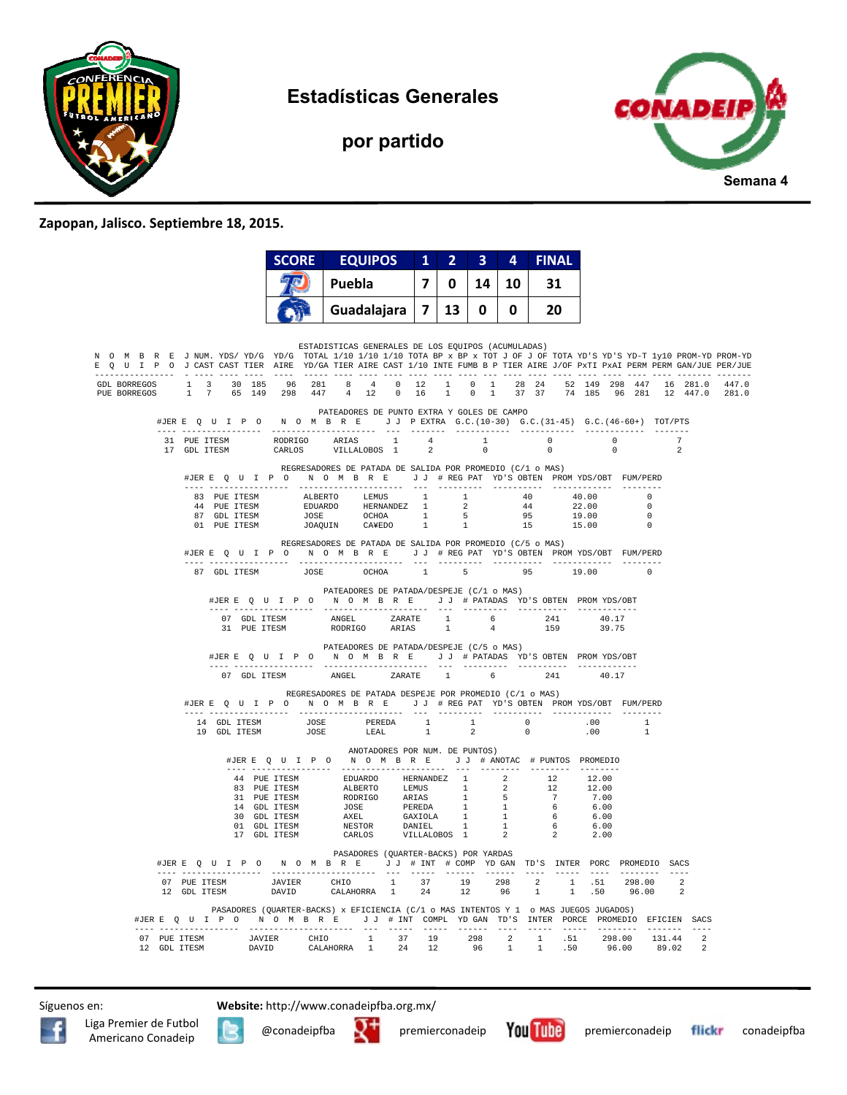

**Estadísticas Generales** 



## **por partido**

## **Zapopan, Jalisco. Septiembre 18, 2015.**

|               |              |                                              | <b>SCORE</b> |  | <b>EQUIPOS</b>                                                                                                                                                                                                                                                                                                   |                                | $\mathbf{1}$   | $\overline{2}$ | $\overline{\mathbf{3}}$ | 4  | <b>FINAL</b> |     |                                                        |                                                                                         |               |                                            |
|---------------|--------------|----------------------------------------------|--------------|--|------------------------------------------------------------------------------------------------------------------------------------------------------------------------------------------------------------------------------------------------------------------------------------------------------------------|--------------------------------|----------------|----------------|-------------------------|----|--------------|-----|--------------------------------------------------------|-----------------------------------------------------------------------------------------|---------------|--------------------------------------------|
|               |              |                                              |              |  | Puebla                                                                                                                                                                                                                                                                                                           |                                | 7              | 0              | 14                      | 10 |              | 31  |                                                        |                                                                                         |               |                                            |
|               |              |                                              |              |  | Guadalajara                                                                                                                                                                                                                                                                                                      |                                | $\overline{7}$ | 13             | 0                       | 0  |              | 20  |                                                        |                                                                                         |               |                                            |
| $- - - - - -$ |              |                                              |              |  | ESTADISTICAS GENERALES DE LOS EQUIPOS (ACUMULADAS)<br>N O M B R E JNUM. YDS/YD/G YD/G TOTAL 1/10 1/10 1/10 TOTA BP x BP x TOT J OF J OF TOTA YD'S YD-S YD-T 1y10 PROM-YD PROM-YD<br>E Q U I P O J CAST CAST TIER AIRE YD/GA TIER AIRE CAST 1/10 INTE FUMB B P TIER AIRE J/OF PxTI PxAI PERM PERM GAN/JUE PER/JUE |                                |                |                |                         |    |              |     |                                                        |                                                                                         |               |                                            |
|               |              |                                              |              |  | GDL BORREGOS 1 3 30 185 96 281 8 4 0 12 1 0 1 28 24 52 149 298 447 16 281.0 447.0<br>PUE BORREGOS 1 7 65 149 298 447 4 12 0 16 1 0 1 37 37 74 185 96 281 12 447.0 281.0                                                                                                                                          |                                |                |                |                         |    |              |     |                                                        |                                                                                         |               |                                            |
|               |              |                                              |              |  | PATEADORES DE PUNTO EXTRA Y GOLES DE CAMPO<br>#JERE Q U I P O N O M B R E J J PEXTRA G.C. (10-30) G.C. (31-45) G.C. (46-60+) TOT/PTS                                                                                                                                                                             |                                |                |                |                         |    |              |     |                                                        |                                                                                         |               |                                            |
|               |              |                                              |              |  |                                                                                                                                                                                                                                                                                                                  |                                |                |                |                         |    |              |     |                                                        | $\overline{0}$<br>$\Omega$                                                              | $\mathcal{L}$ |                                            |
|               |              | ---- -----------------                       |              |  | REGRESADORES DE PATADA DE SALIDA POR PROMEDIO (C/1 o MAS)<br>#JERE Q U I P O N O M B R E J J # REG PAT YD'S OBTEN PROMYDS/OBT FUM/PERD<br>---------------------                                                                                                                                                  |                                |                |                |                         |    |              |     |                                                        |                                                                                         |               |                                            |
|               |              | 83 PUE ITESM<br>44 PUE ITESM<br>87 GDL ITESM |              |  | ALBERTO LEMUS 1 1 40 40.00<br>EDUARDO HERNANDEZ 1 2 44 22.00<br>JOSE OCHOA 1 5 95 19.00<br>JOAQUIN CAYEDO 1 1 15 15.00                                                                                                                                                                                           |                                |                |                |                         |    |              |     |                                                        | $\sim$ 0<br>$\sim$<br>$\overline{0}$                                                    |               |                                            |
|               |              | 01 PUE ITESM                                 |              |  | REGRESADORES DE PATADA DE SALIDA POR PROMEDIO (C/5 o MAS)<br>#JERE QUIPONOMBRE JJ #REGPAT YD'S OBTEN PROMYDS/OBT FUM/PERD                                                                                                                                                                                        |                                |                |                |                         |    |              |     |                                                        | $\overline{\phantom{0}}$                                                                |               |                                            |
|               |              | ---- -----------------                       |              |  | 87 GDL ITESM JOSE OCHOA 1 5                                                                                                                                                                                                                                                                                      |                                |                |                |                         |    |              |     | 95 19.00                                               | $\overline{\phantom{0}}$                                                                |               |                                            |
|               |              |                                              |              |  | PATEADORES DE PATADA/DESPEJE (C/1 o MAS)<br>#JERE Q U I P O N O M B R E J J # PATADAS YD'S OBTEN PROMYDS/OBT                                                                                                                                                                                                     |                                |                |                |                         |    |              |     |                                                        |                                                                                         |               |                                            |
|               |              |                                              |              |  | $\begin{tabular}{lcccccc} 07 & GDL TTESM & & & ANGEL & & ZARATE & & 1 & & 6 & & 241 & & 40.17 \\ 31 & PUE TTESM & & & & \text{RODRIGO} & & & \text{ARIAS} & & 1 & & 4 & & 159 & & 39.75 \\ \end{tabular}$                                                                                                        |                                |                |                |                         |    |              |     |                                                        |                                                                                         |               |                                            |
|               |              |                                              |              |  | PATEADORES DE PATADA/DESPEJE (C/5 o MAS)<br>#JERE QUIPO NOMBRE JJ #PATADAS YD'S OBTEN PROMYDS/OBT                                                                                                                                                                                                                |                                |                |                |                         |    |              |     |                                                        |                                                                                         |               |                                            |
|               |              | 07 GDL ITESM                                 |              |  | ANGEL ZARATE 1 6<br>REGRESADORES DE PATADA DESPEJE POR PROMEDIO (C/1 o MAS)                                                                                                                                                                                                                                      |                                |                |                |                         |    |              | 241 | 40.17                                                  |                                                                                         |               |                                            |
|               |              |                                              |              |  | #JERE Q U I P O N O M B R E J J # REG PAT YD'S OBTEN PROM YDS/OBT FUM/PERD                                                                                                                                                                                                                                       |                                |                |                |                         |    |              |     |                                                        |                                                                                         |               |                                            |
|               |              |                                              |              |  |                                                                                                                                                                                                                                                                                                                  |                                |                |                |                         |    |              |     |                                                        | $\overline{1}$<br>$\mathbf{1}$                                                          |               |                                            |
|               |              |                                              |              |  | #JERE Q U I P O N O M B R E J J # ANOTAC # PUNTOS PROMEDIO                                                                                                                                                                                                                                                       | ANOTADORES POR NUM. DE PUNTOS) |                |                |                         |    |              |     |                                                        |                                                                                         |               |                                            |
|               |              |                                              |              |  |                                                                                                                                                                                                                                                                                                                  |                                |                |                |                         |    |              |     | 12.00<br>12.00<br>7.00<br>6.00<br>6.00<br>6.00<br>2.00 |                                                                                         |               |                                            |
|               |              |                                              |              |  | PASADORES (QUARTER-BACKS) POR YARDAS<br>#JERE Q U I P O N O M B R E J J # INT # COMP YD GAN TD'S INTER PORC PROMEDIO SACS                                                                                                                                                                                        |                                |                |                |                         |    |              |     |                                                        |                                                                                         |               |                                            |
|               |              |                                              |              |  |                                                                                                                                                                                                                                                                                                                  |                                |                |                |                         |    |              |     |                                                        |                                                                                         |               |                                            |
|               |              |                                              |              |  | PASADORES (QUARTER-BACKS) x EFICIENCIA (C/1 o MAS INTENTOS Y 1 o MAS JUEGOS JUGADOS)<br>#JER E Q U I P O N O M B R E J J # INT COMPL YDGAN TD'S INTER PORCE PROMEDIO EFICIEN SACS                                                                                                                                |                                |                |                |                         |    |              |     |                                                        |                                                                                         |               |                                            |
|               | 12 GDL ITESM | 07 PUE ITESM<br>10 CDI ITESM                 |              |  | $\begin{tabular}{lcccccc} JAVIER & CHIO & 1 & 37 & 19 & 298 & 2 & 1 \\ DAVID & CALAHORRA & 1 & 24 & 12 & 96 & 1 & 1 \\ \end{tabular}$                                                                                                                                                                            |                                |                |                |                         |    |              |     |                                                        | $\begin{array}{cccc} 1 & .51 & .298.00 & 131.44 \\ 1 & .50 & 96.00 & 89.02 \end{array}$ |               | $\overline{\phantom{a}}$<br>$\overline{2}$ |

Síguenos en: **Website:** http://www.conadeipfba.org.mx/

Liga Premier de Futbol





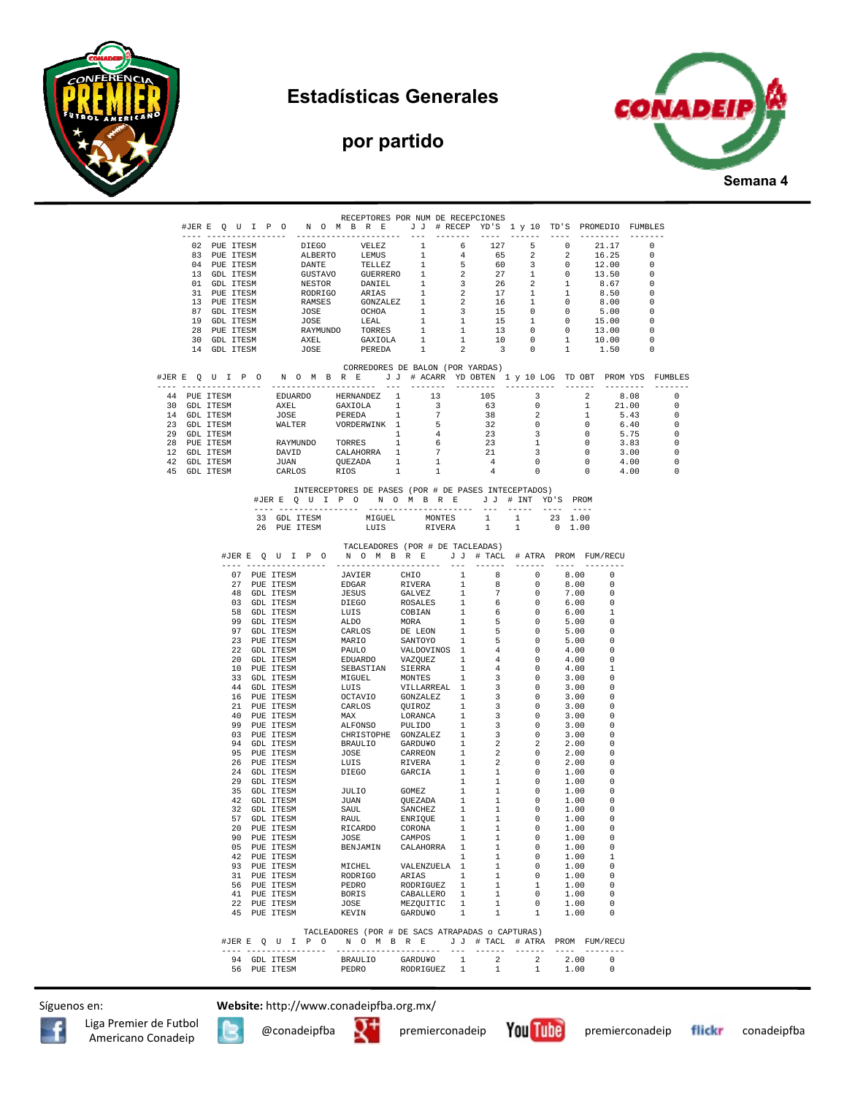



## **por partido**



|  |                              |  |              |  | RECEPTORES POR NUM DE RECEPCIONES                                                                                                                                                                                                                                                                                                                                                                                                                                             |                                                  |              |   |                                                                 |                |                                 |                                 |            |
|--|------------------------------|--|--------------|--|-------------------------------------------------------------------------------------------------------------------------------------------------------------------------------------------------------------------------------------------------------------------------------------------------------------------------------------------------------------------------------------------------------------------------------------------------------------------------------|--------------------------------------------------|--------------|---|-----------------------------------------------------------------|----------------|---------------------------------|---------------------------------|------------|
|  |                              |  |              |  | #JERE QUIPON OMBRE JJ #RECEPYD'S 1 y 10 TD'S PROMEDIO FUMBLES                                                                                                                                                                                                                                                                                                                                                                                                                 |                                                  |              |   |                                                                 |                |                                 |                                 |            |
|  | 02 PUE ITESM                 |  |              |  | $\begin{tabular}{cccccccc} \multicolumn{4}{c}{\textbf{DIEGO}} & {\textbf{VELEZ}} & \multicolumn{4}{c}{\textbf{DIEGO}} & {\textbf{VELEZ}} & \multicolumn{4}{c}{\textbf{DIEGO}} & {\textbf{VELEZ}} & \multicolumn{4}{c}{\textbf{DILR}} & \multicolumn{4}{c}{\textbf{DILR}} & \multicolumn{4}{c}{\textbf{DILR}} & \multicolumn{4}{c}{\textbf{DILR}} & \multicolumn{4}{c}{\textbf{DILR}} & \multicolumn{4}{c}{\textbf{DILR}} & \multicolumn{4}{c}{\textbf{DILR}} & \multicolumn{$ |                                                  |              |   |                                                                 |                |                                 |                                 |            |
|  | 83 PUE ITESM                 |  |              |  |                                                                                                                                                                                                                                                                                                                                                                                                                                                                               |                                                  |              |   |                                                                 |                |                                 |                                 |            |
|  | 04 PUE ITESM                 |  |              |  |                                                                                                                                                                                                                                                                                                                                                                                                                                                                               |                                                  |              |   |                                                                 |                |                                 |                                 |            |
|  | 13 GDL ITESM                 |  |              |  |                                                                                                                                                                                                                                                                                                                                                                                                                                                                               |                                                  |              |   |                                                                 |                |                                 |                                 |            |
|  | 01 GDL ITESM                 |  |              |  |                                                                                                                                                                                                                                                                                                                                                                                                                                                                               |                                                  |              |   |                                                                 |                |                                 |                                 |            |
|  | 31 PUE ITESM                 |  |              |  |                                                                                                                                                                                                                                                                                                                                                                                                                                                                               |                                                  |              |   |                                                                 |                |                                 |                                 |            |
|  | 13 PUE ITESM<br>87 GDL ITESM |  |              |  |                                                                                                                                                                                                                                                                                                                                                                                                                                                                               |                                                  |              |   |                                                                 |                |                                 |                                 |            |
|  | 19 GDL ITESM                 |  |              |  |                                                                                                                                                                                                                                                                                                                                                                                                                                                                               |                                                  |              |   |                                                                 |                |                                 |                                 |            |
|  | 28 PUE ITESM                 |  |              |  |                                                                                                                                                                                                                                                                                                                                                                                                                                                                               |                                                  |              |   |                                                                 |                |                                 |                                 |            |
|  | 30 GDL ITESM                 |  |              |  |                                                                                                                                                                                                                                                                                                                                                                                                                                                                               |                                                  |              |   |                                                                 |                |                                 |                                 |            |
|  | 14 GDL ITESM                 |  |              |  |                                                                                                                                                                                                                                                                                                                                                                                                                                                                               |                                                  |              |   |                                                                 |                |                                 |                                 |            |
|  |                              |  |              |  |                                                                                                                                                                                                                                                                                                                                                                                                                                                                               |                                                  |              |   |                                                                 |                |                                 |                                 |            |
|  |                              |  |              |  | CORREDORES DE BALON (POR YARDAS)                                                                                                                                                                                                                                                                                                                                                                                                                                              |                                                  |              |   |                                                                 |                |                                 |                                 |            |
|  |                              |  |              |  | #JERE QUIPONOMBRE JJ # ACARR YDOBTEN 1 y 10 LOG TDOBT PROMYDS FUMBLES                                                                                                                                                                                                                                                                                                                                                                                                         |                                                  |              |   |                                                                 |                |                                 |                                 |            |
|  |                              |  |              |  | 44 PUE ITESM EDUARDO HERNANDEZ 1 113<br>30 GDL ITESM AXEL GAXIOLA 1 3<br>23 GDL ITESM JOSE PEREDA 1 7<br>23 GDL ITESM MALTER PEREDA 1 7<br>29 GDL ITESM MALTER PEREDA 1 6<br>29 GDL ITESM RAYMUNDO TORRES 1 6<br>12 GDL ITESM RAYMUNDO TOR                                                                                                                                                                                                                                    |                                                  |              |   |                                                                 |                | $\overline{2}$                  |                                 | $^{\circ}$ |
|  |                              |  |              |  |                                                                                                                                                                                                                                                                                                                                                                                                                                                                               |                                                  |              |   |                                                                 |                | $\mathbf{1}$                    | $8.08$<br>$21.00$               | $\Omega$   |
|  |                              |  |              |  |                                                                                                                                                                                                                                                                                                                                                                                                                                                                               |                                                  |              |   | $\sim$ 2                                                        |                | $\frac{1}{1}$                   | 5.43                            | $^{\circ}$ |
|  |                              |  |              |  |                                                                                                                                                                                                                                                                                                                                                                                                                                                                               |                                                  |              |   | $\overline{0}$                                                  |                | $\overline{0}$                  | 6.40                            | $^{\circ}$ |
|  |                              |  |              |  |                                                                                                                                                                                                                                                                                                                                                                                                                                                                               | $\begin{array}{c} 5 \\ 4 \\ 6 \end{array}$       |              |   | $\overline{\mathbf{3}}$                                         |                | $\overline{0}$                  | 5.75                            | $\circ$    |
|  |                              |  |              |  |                                                                                                                                                                                                                                                                                                                                                                                                                                                                               |                                                  |              |   | 1                                                               |                | $\overline{\phantom{0}}$        | 3.83                            | $\circ$    |
|  |                              |  |              |  |                                                                                                                                                                                                                                                                                                                                                                                                                                                                               |                                                  |              |   |                                                                 |                | $\overline{0}$                  | 3.00                            | $\circ$    |
|  |                              |  |              |  |                                                                                                                                                                                                                                                                                                                                                                                                                                                                               | $\begin{array}{ccc} & 1 & \quad & 1 \end{array}$ |              |   | $\begin{array}{ccc} 21 & & 3 \\ 4 & & 0 \\ 4 & & 0 \end{array}$ |                | $\overline{0}$                  | 4.00<br>$0 \t 4.00$             | $^{\circ}$ |
|  | 45 GDL ITESM                 |  | CARLOS       |  | RIOS                                                                                                                                                                                                                                                                                                                                                                                                                                                                          |                                                  |              |   |                                                                 |                |                                 |                                 | 0          |
|  |                              |  |              |  | INTERCEPTORES DE PASES (POR # DE PASES INTECEPTADOS)<br>#JERE QUIPONOMBRE JJ # INT YD'S PROM                                                                                                                                                                                                                                                                                                                                                                                  |                                                  |              |   |                                                                 |                |                                 |                                 |            |
|  |                              |  |              |  |                                                                                                                                                                                                                                                                                                                                                                                                                                                                               |                                                  |              |   | ---- ----- ---- ----                                            |                |                                 |                                 |            |
|  |                              |  |              |  | 33 GDL ITESM MIGUEL MONTES 1 1 23 1.00                                                                                                                                                                                                                                                                                                                                                                                                                                        |                                                  |              |   |                                                                 |                |                                 |                                 |            |
|  |                              |  | 26 PUE ITESM |  | LUIS                                                                                                                                                                                                                                                                                                                                                                                                                                                                          | RIVERA                                           |              | 1 | 1                                                               | $0 \quad 1.00$ |                                 |                                 |            |
|  |                              |  |              |  |                                                                                                                                                                                                                                                                                                                                                                                                                                                                               |                                                  |              |   |                                                                 |                |                                 |                                 |            |
|  |                              |  |              |  | TACLEADORES (POR # DE TACLEADAS)                                                                                                                                                                                                                                                                                                                                                                                                                                              |                                                  |              |   |                                                                 |                |                                 |                                 |            |
|  |                              |  |              |  | #JERE OUIP ON OMBRE JJ # TACL # ATRA PROM FUM/RECU                                                                                                                                                                                                                                                                                                                                                                                                                            |                                                  |              |   |                                                                 |                |                                 |                                 |            |
|  |                              |  |              |  | $\begin{tabular}{cccccccc} {\tt \textcolor{red}{\bf 1.5} & {\tt \textcolor{red}{\bf 2.6} & {\tt \textcolor{red}{\bf 1.6} & {\tt \textcolor{red}{\bf 2.6} & {\tt \textcolor{red}{\bf 2.6} & {\tt \textcolor{red}{\bf 2.6} & {\tt \textcolor{red}{\bf 2.6} & {\tt \textcolor{red}{\bf 2.6} & {\tt \textcolor{red}{\bf 2.6} & {\tt \textcolor{red}{\bf 2.6} & {\tt \textcolor{red}{\bf 2.6} & {\tt \textcolor{red}{\bf 2.6} & {\tt \textcolor{red}{\bf 2.6} & {\tt \$            |                                                  |              |   |                                                                 |                | 8.00                            | $\overline{0}$                  |            |
|  |                              |  |              |  |                                                                                                                                                                                                                                                                                                                                                                                                                                                                               |                                                  |              |   |                                                                 |                | 8.00                            | $\Omega$                        |            |
|  |                              |  |              |  |                                                                                                                                                                                                                                                                                                                                                                                                                                                                               |                                                  |              |   | $\overline{0}$                                                  |                | 7.00                            | - 0                             |            |
|  |                              |  |              |  |                                                                                                                                                                                                                                                                                                                                                                                                                                                                               |                                                  |              |   |                                                                 |                | 6.00                            | $\Omega$                        |            |
|  |                              |  |              |  |                                                                                                                                                                                                                                                                                                                                                                                                                                                                               |                                                  |              |   |                                                                 |                | 6.00                            | -1                              |            |
|  |                              |  |              |  |                                                                                                                                                                                                                                                                                                                                                                                                                                                                               |                                                  |              |   |                                                                 |                | 5.00                            | - 0                             |            |
|  |                              |  |              |  |                                                                                                                                                                                                                                                                                                                                                                                                                                                                               |                                                  |              |   |                                                                 |                | 5.00                            | - 0                             |            |
|  |                              |  |              |  |                                                                                                                                                                                                                                                                                                                                                                                                                                                                               |                                                  |              |   |                                                                 |                | 5.00                            | - 0                             |            |
|  |                              |  |              |  |                                                                                                                                                                                                                                                                                                                                                                                                                                                                               |                                                  |              |   |                                                                 |                | 4.00                            | - 0                             |            |
|  |                              |  |              |  |                                                                                                                                                                                                                                                                                                                                                                                                                                                                               |                                                  |              |   |                                                                 |                | 4.00<br>4.00                    | . റ<br>$\overline{1}$           |            |
|  |                              |  |              |  |                                                                                                                                                                                                                                                                                                                                                                                                                                                                               |                                                  |              |   |                                                                 |                | 3.00                            | - 0                             |            |
|  |                              |  |              |  |                                                                                                                                                                                                                                                                                                                                                                                                                                                                               |                                                  |              |   |                                                                 |                | 3.00                            | $\overline{\phantom{0}}$        |            |
|  |                              |  |              |  |                                                                                                                                                                                                                                                                                                                                                                                                                                                                               |                                                  |              |   |                                                                 |                | 3.00                            | - 0                             |            |
|  |                              |  |              |  |                                                                                                                                                                                                                                                                                                                                                                                                                                                                               |                                                  |              |   |                                                                 |                | 3.00                            | - 0                             |            |
|  |                              |  |              |  |                                                                                                                                                                                                                                                                                                                                                                                                                                                                               |                                                  |              |   |                                                                 |                | 3.00                            | 0                               |            |
|  |                              |  |              |  |                                                                                                                                                                                                                                                                                                                                                                                                                                                                               |                                                  |              |   |                                                                 |                | 3.00                            | $\Omega$                        |            |
|  |                              |  |              |  |                                                                                                                                                                                                                                                                                                                                                                                                                                                                               |                                                  |              |   |                                                                 |                | 3.00                            | - 0                             |            |
|  |                              |  |              |  |                                                                                                                                                                                                                                                                                                                                                                                                                                                                               |                                                  |              |   |                                                                 |                | 2.00                            | - 0                             |            |
|  |                              |  |              |  |                                                                                                                                                                                                                                                                                                                                                                                                                                                                               |                                                  |              |   |                                                                 |                | 2.00                            | - 0                             |            |
|  |                              |  |              |  |                                                                                                                                                                                                                                                                                                                                                                                                                                                                               |                                                  |              |   |                                                                 |                | 2.00                            | 0                               |            |
|  |                              |  |              |  |                                                                                                                                                                                                                                                                                                                                                                                                                                                                               |                                                  |              |   |                                                                 |                | 1.00<br>1.00                    | $\overline{\phantom{0}}$<br>- 0 |            |
|  |                              |  |              |  |                                                                                                                                                                                                                                                                                                                                                                                                                                                                               |                                                  |              |   |                                                                 |                | 1.00                            | $\overline{0}$                  |            |
|  |                              |  |              |  |                                                                                                                                                                                                                                                                                                                                                                                                                                                                               |                                                  |              |   |                                                                 |                | 1.00                            | - 0                             |            |
|  |                              |  |              |  |                                                                                                                                                                                                                                                                                                                                                                                                                                                                               |                                                  |              |   | $\overline{0}$                                                  |                | 1.00                            | $\overline{\phantom{0}}$        |            |
|  |                              |  |              |  |                                                                                                                                                                                                                                                                                                                                                                                                                                                                               |                                                  |              |   |                                                                 |                |                                 | $\overline{\phantom{0}}$        |            |
|  |                              |  |              |  |                                                                                                                                                                                                                                                                                                                                                                                                                                                                               |                                                  |              |   |                                                                 |                | $1.00$<br>$1.00$                | $\Omega$                        |            |
|  |                              |  | 90 PUE ITESM |  | JOSE                                                                                                                                                                                                                                                                                                                                                                                                                                                                          | CAMPOS                                           | $\mathbf{1}$ | 1 | $\overline{\phantom{0}}$                                        |                | 1.00                            |                                 |            |
|  |                              |  |              |  |                                                                                                                                                                                                                                                                                                                                                                                                                                                                               |                                                  |              |   |                                                                 |                |                                 | $^{\circ}$                      |            |
|  |                              |  |              |  |                                                                                                                                                                                                                                                                                                                                                                                                                                                                               |                                                  |              |   |                                                                 |                |                                 | $\overline{1}$                  |            |
|  |                              |  |              |  |                                                                                                                                                                                                                                                                                                                                                                                                                                                                               |                                                  |              |   |                                                                 |                |                                 | $\overline{\phantom{0}}$        |            |
|  |                              |  |              |  |                                                                                                                                                                                                                                                                                                                                                                                                                                                                               |                                                  |              |   |                                                                 |                |                                 | $\circ$<br>$\Omega$             |            |
|  |                              |  |              |  |                                                                                                                                                                                                                                                                                                                                                                                                                                                                               |                                                  |              |   |                                                                 |                |                                 |                                 |            |
|  |                              |  |              |  |                                                                                                                                                                                                                                                                                                                                                                                                                                                                               |                                                  |              |   |                                                                 |                | $1.00$ 0<br>$1.00$ 0<br>$0.0$ 0 |                                 |            |
|  |                              |  |              |  |                                                                                                                                                                                                                                                                                                                                                                                                                                                                               |                                                  |              |   |                                                                 |                | 1.00                            | $\Omega$                        |            |
|  |                              |  |              |  |                                                                                                                                                                                                                                                                                                                                                                                                                                                                               |                                                  |              |   |                                                                 |                |                                 |                                 |            |
|  |                              |  |              |  | TACLEADORES (POR # DE SACS ATRAPADAS o CAPTURAS)                                                                                                                                                                                                                                                                                                                                                                                                                              |                                                  |              |   |                                                                 |                |                                 |                                 |            |
|  |                              |  |              |  | #JERE QUIPO NOMBRE JJ # TACL # ATRA PROM FUM/RECU                                                                                                                                                                                                                                                                                                                                                                                                                             |                                                  |              |   |                                                                 |                |                                 |                                 |            |
|  |                              |  |              |  |                                                                                                                                                                                                                                                                                                                                                                                                                                                                               |                                                  |              |   |                                                                 |                |                                 |                                 |            |
|  |                              |  |              |  |                                                                                                                                                                                                                                                                                                                                                                                                                                                                               |                                                  |              |   |                                                                 |                |                                 |                                 |            |
|  |                              |  |              |  |                                                                                                                                                                                                                                                                                                                                                                                                                                                                               |                                                  |              |   |                                                                 |                |                                 |                                 |            |
|  |                              |  |              |  |                                                                                                                                                                                                                                                                                                                                                                                                                                                                               |                                                  |              |   |                                                                 |                |                                 |                                 |            |

Síguenos en: **Website:** http://www.conadeipfba.org.mx/